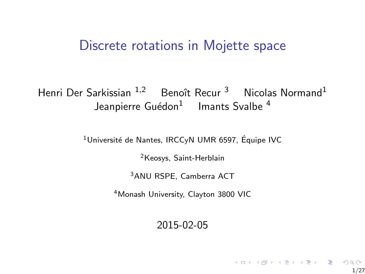#### <span id="page-0-0"></span>Discrete rotations in Mojette space

#### Henri Der Sarkissian  $1,2$  Benoît Recur <sup>3</sup> Nicolas Normand<sup>1</sup> Jeanpierre Guédon $^1$  Imants Svalbe  $^4$

 $1$ Université de Nantes, IRCCvN UMR 6597, Équipe IVC

<sup>2</sup>Keosys, Saint-Herblain

<sup>3</sup>ANU RSPE, Camberra ACT

<sup>4</sup>Monash University, Clayton 3800 VIC

2015-02-05

1/27

K ロ ▶ K @ ▶ K 할 ▶ K 할 ▶ | 할 | © 9 Q @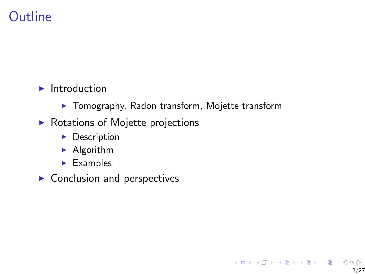# **Outline**

#### $\blacktriangleright$  Introduction

 $\blacktriangleright$  Tomography, Radon transform, Mojette transform

2/27

K ロ ▶ K 個 ▶ K 결 ▶ K 결 ▶ │ 결 │ K 9 Q Q

- $\triangleright$  Rotations of Mojette projections
	- $\blacktriangleright$  Description
	- $\blacktriangleright$  Algorithm
	- $\blacktriangleright$  Examples
- $\blacktriangleright$  Conclusion and perspectives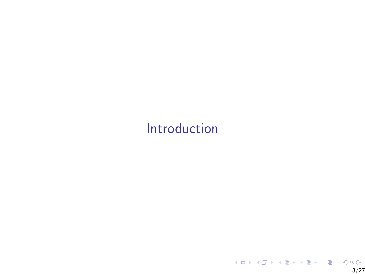# <span id="page-2-0"></span>[Introduction](#page-2-0)

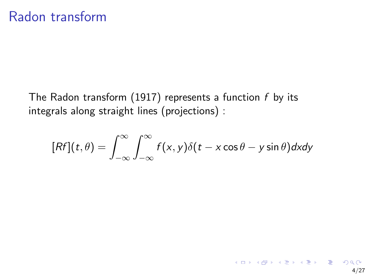The Radon transform (1917) represents a function  $f$  by its integrals along straight lines (projections) :

$$
[Rf](t,\theta) = \int_{-\infty}^{\infty} \int_{-\infty}^{\infty} f(x,y)\delta(t-x\cos\theta-y\sin\theta)dxdy
$$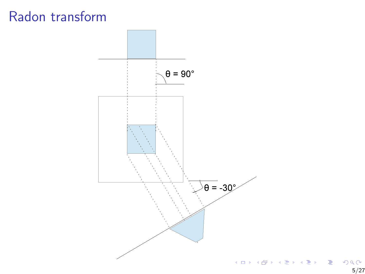### Radon transform

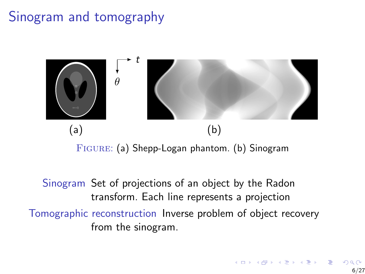# Sinogram and tomography



Figure: (a) Shepp-Logan phantom. (b) Sinogram

Sinogram Set of projections of an object by the Radon transform. Each line represents a projection Tomographic reconstruction Inverse problem of object recovery from the sinogram.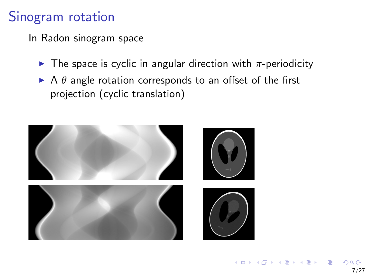## Sinogram rotation

In Radon sinogram space

- $\blacktriangleright$  The space is cyclic in angular direction with  $\pi$ -periodicity
- $\triangleright$  A  $\theta$  angle rotation corresponds to an offset of the first projection (cyclic translation)

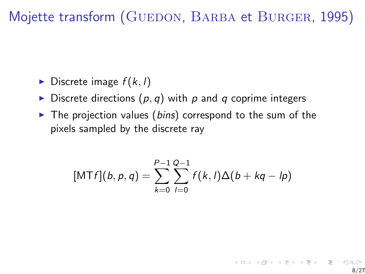<span id="page-7-0"></span>Mojette transform (GUEDON, BARBA et BURGER, [1995\)](#page-0-0)

- $\blacktriangleright$  Discrete image  $f(k, l)$
- Discrete directions  $(p, q)$  with p and q coprime integers
- $\triangleright$  The projection values (bins) correspond to the sum of the pixels sampled by the discrete ray

$$
[MTf](b,p,q) = \sum_{k=0}^{P-1} \sum_{l=0}^{Q-1} f(k,l) \Delta(b+kq-lp)
$$

8/27

K ロン K 御 > K 결 > K 결 > 「결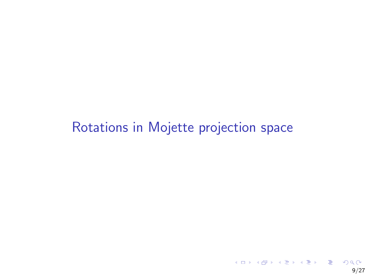# <span id="page-8-0"></span>[Rotations in Mojette projection space](#page-8-0)

9/27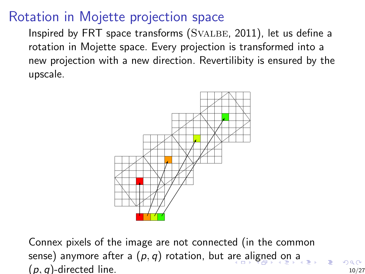### <span id="page-9-0"></span>Rotation in Mojette projection space

Inspired by FRT space transforms (SVALBE, [2011\)](#page-0-0), let us define a rotation in Mojette space. Every projection is transformed into a new projection with a new direction. Revertilibity is ensured by the upscale.



Connex pixels of the image are not connected (in the common sense)anym[o](#page-8-0)re [a](#page-7-0)fter a  $(p, q)$  rotation, but [are](#page-8-0) [ali](#page-10-0)[g](#page-8-0)[ne](#page-9-0)[d](#page-10-0) o[n](#page-21-0) a  $(p, q)$ -directed line. 10/27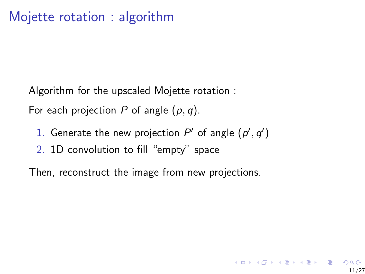<span id="page-10-0"></span>Algorithm for the upscaled Mojette rotation :

For each projection P of angle  $(p, q)$ .

1. Generate the new projection  $P'$  of angle  $(p', q')$ 

11/27

メロトメ 御 メメモトメモト ニモーの

2. 1D convolution to fill "empty" space

Then, reconstruct the image from new projections.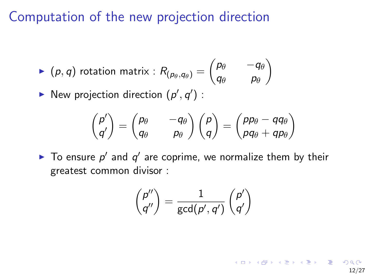Computation of the new projection direction

$$
\blacktriangleright \begin{pmatrix} \rho, q \end{pmatrix} \text{ rotation matrix}: R_{(p_\theta, q_\theta)} = \begin{pmatrix} p_\theta & -q_\theta \\ q_\theta & p_\theta \end{pmatrix}
$$

New projection direction  $(p', q')$  :

$$
\begin{pmatrix} p' \\ q' \end{pmatrix} = \begin{pmatrix} p_{\theta} & -q_{\theta} \\ q_{\theta} & p_{\theta} \end{pmatrix} \begin{pmatrix} p \\ q \end{pmatrix} = \begin{pmatrix} pp_{\theta} - qq_{\theta} \\ pq_{\theta} + qp_{\theta} \end{pmatrix}
$$

 $\blacktriangleright$  To ensure  $p'$  and  $q'$  are coprime, we normalize them by their greatest common divisor :

$$
\begin{pmatrix} p'' \\ q'' \end{pmatrix} = \frac{1}{\gcd(p',q')}\begin{pmatrix} p' \\ q' \end{pmatrix}
$$

12/27

イロン イ部 メイモン イモンド 毛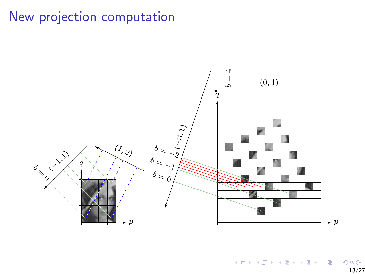## New projection computation



 $4.11 \times$  $AB + AB$ つへへ 13/27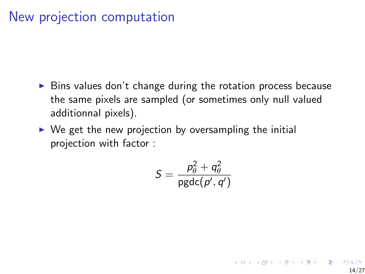### New projection computation

- $\triangleright$  Bins values don't change during the rotation process because the same pixels are sampled (or sometimes only null valued additionnal pixels).
- $\triangleright$  We get the new projection by oversampling the initial projection with factor :

$$
\mathcal{S} = \frac{\rho_\theta^2 + q_\theta^2}{\text{pgdc}(p',q')}
$$

14/27

イロン イ部 メイモン イモンド 毛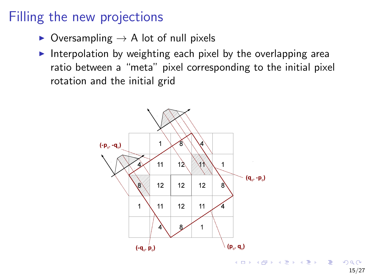### Filling the new projections

- $\triangleright$  Oversampling  $\rightarrow$  A lot of null pixels
- Interpolation by weighting each pixel by the overlapping area ratio between a "meta" pixel corresponding to the initial pixel rotation and the initial grid



15/27

 $\geq$   $\,$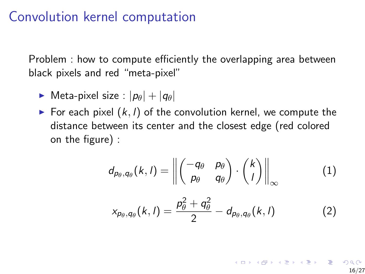#### Convolution kernel computation

Problem : how to compute efficiently the overlapping area between black pixels and red "meta-pixel"

- **Meta-pixel size** :  $|p_{\theta}| + |q_{\theta}|$
- For each pixel  $(k, l)$  of the convolution kernel, we compute the distance between its center and the closest edge (red colored on the figure) :

$$
d_{p_{\theta},q_{\theta}}(k,l) = \left\| \begin{pmatrix} -q_{\theta} & p_{\theta} \\ p_{\theta} & q_{\theta} \end{pmatrix} \cdot \begin{pmatrix} k \\ l \end{pmatrix} \right\|_{\infty}
$$
 (1)

$$
x_{p_{\theta},q_{\theta}}(k,l) = \frac{p_{\theta}^2 + q_{\theta}^2}{2} - d_{p_{\theta},q_{\theta}}(k,l)
$$
 (2)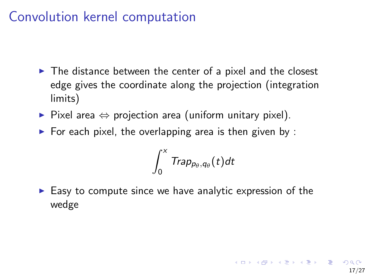### <span id="page-16-0"></span>Convolution kernel computation

- $\triangleright$  The distance between the center of a pixel and the closest edge gives the coordinate along the projection (integration limits)
- $\triangleright$  Pixel area  $\Leftrightarrow$  projection area (uniform unitary pixel).
- $\triangleright$  For each pixel, the overlapping area is then given by :

$$
\int_0^x \textit{Trap}_{p_\theta,q_\theta}(t) dt
$$

 $\blacktriangleright$  Easy to compute since we have analytic expression of the wedge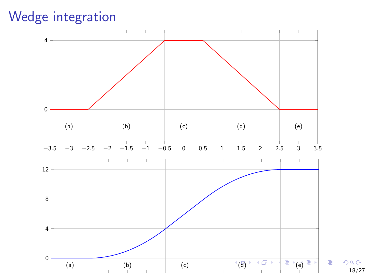Wedge integration



 $2Q$ 18/27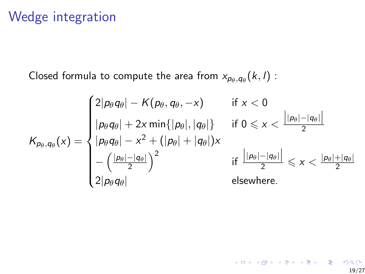### Wedge integration

Closed formula to compute the area from  $x_{p_\theta, q_\theta}(k, l)$  :

$$
K_{p_{\theta},q_{\theta}}(x) = \begin{cases} 2|p_{\theta}q_{\theta}| - K(p_{\theta},q_{\theta},-x) & \text{if } x < 0 \\ |p_{\theta}q_{\theta}| + 2x \min\{|p_{\theta}|,|q_{\theta}|\} & \text{if } 0 \leq x < \frac{||p_{\theta}|-|q_{\theta}|}{2} \\ |p_{\theta}q_{\theta}| - x^2 + (|p_{\theta}| + |q_{\theta}|)x \\ - \left(\frac{|p_{\theta}|-|q_{\theta}|}{2}\right)^2 & \text{if } \frac{||p_{\theta}|-|q_{\theta}|}{2} \leq x < \frac{|p_{\theta}|+|q_{\theta}|}{2} \\ 2|p_{\theta}q_{\theta}| & \text{elsewhere.} \end{cases}
$$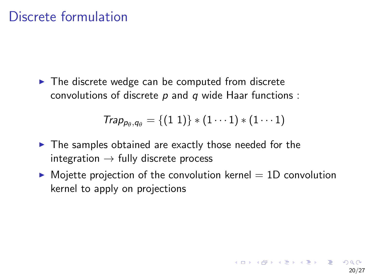### Discrete formulation

 $\triangleright$  The discrete wedge can be computed from discrete convolutions of discrete  $p$  and  $q$  wide Haar functions :

$$
Trap_{p_{\theta},q_{\theta}} = \{(1\;1)\}*(1\cdots1)*(1\cdots1)
$$

- $\blacktriangleright$  The samples obtained are exactly those needed for the integration  $\rightarrow$  fully discrete process
- $\triangleright$  Mojette projection of the convolution kernel  $= 1D$  convolution kernel to apply on projections

20/27

イロト イ母 トイミト イミト ニミー の Q C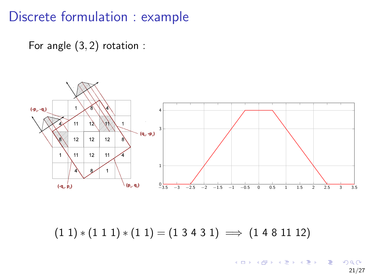#### Discrete formulation : example

For angle (3, 2) rotation :



 $(1 1) * (1 1 1) * (1 1) = (1 3 4 3 1) \implies (1 4 8 11 12)$ 

 $4$  ロ }  $4$   $6$  }  $4$   $3$  }  $4$  $\Rightarrow$ 21/27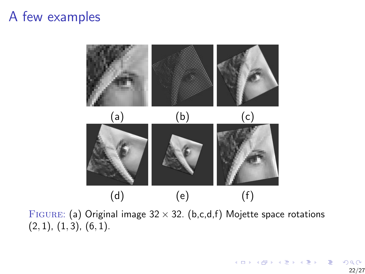### <span id="page-21-0"></span>A few examples



4 ロ ト 4 伊 ト 4 手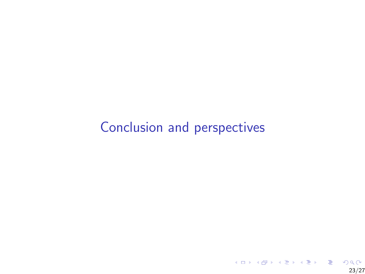## <span id="page-22-0"></span>[Conclusion and perspectives](#page-22-0)

23/27

**K ロ X イロ X X を X X を X を コ シ イ コ X メロ X X を X と を X を シ う く の く C**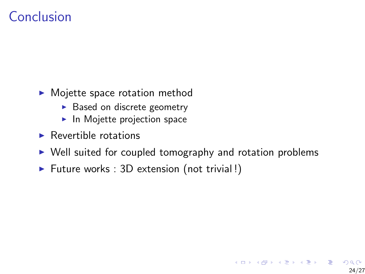## Conclusion

- $\blacktriangleright$  Mojette space rotation method
	- $\triangleright$  Based on discrete geometry
	- $\blacktriangleright$  In Mojette projection space
- $\blacktriangleright$  Revertible rotations
- $\triangleright$  Well suited for coupled tomography and rotation problems

24/27

 $\mathbf{A} \equiv \mathbf{A} + \mathbf{B} + \mathbf{A} + \mathbf{B} + \mathbf{A} + \mathbf{B} + \mathbf{A} + \mathbf{B} + \mathbf{A} + \mathbf{B} + \mathbf{A} + \mathbf{B} + \mathbf{A} + \mathbf{B} + \mathbf{A} + \mathbf{B} + \mathbf{A} + \mathbf{B} + \mathbf{A} + \mathbf{B} + \mathbf{A} + \mathbf{B} + \mathbf{A} + \mathbf{B} + \mathbf{A} + \mathbf{B} + \mathbf{A} + \mathbf{B} + \mathbf{A} + \mathbf{B} + \math$ 

 $\triangleright$  Future works : 3D extension (not trivial!)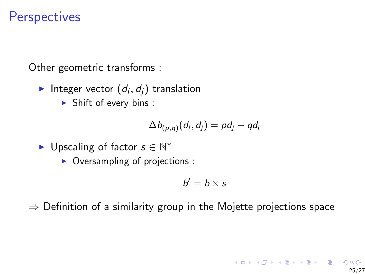### **Perspectives**

Other geometric transforms :

- Integer vector  $(d_i, d_j)$  translation
	- $\blacktriangleright$  Shift of every bins :

$$
\Delta b_{(p,q)}(d_i,d_j)=pd_j-qd_i
$$

- $\blacktriangleright$  Upscaling of factor  $s \in \mathbb{N}^*$ 
	- $\triangleright$  Oversampling of projections :

$$
b'=b\times s
$$

25/27

K ロ ▶ K @ ▶ K 할 ▶ K 할 ▶ 이 할 → 이 Q

 $\Rightarrow$  Definition of a similarity group in the Mojette projections space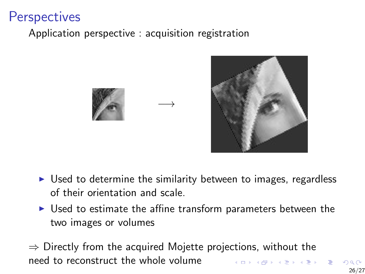## **Perspectives**

Application perspective : acquisition registration





- $\triangleright$  Used to determine the similarity between to images, regardless of their orientation and scale.
- $\triangleright$  Used to estimate the affine transform parameters between the two images or volumes
- $\Rightarrow$  Directly from the acquired Mojette projections, without the need to reconstruct the whole volume  $(7)$   $(7)$

−→